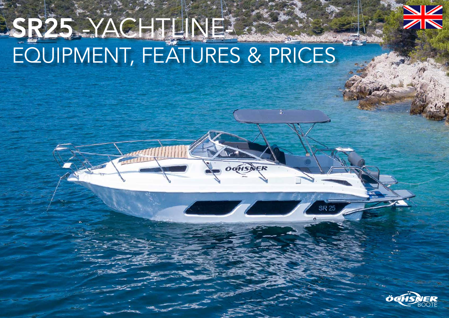

# SR25 -YACHTLINE-EQUIPMENT, FEATURES & PRICES

**OCHSNER** 

**SR 25** 

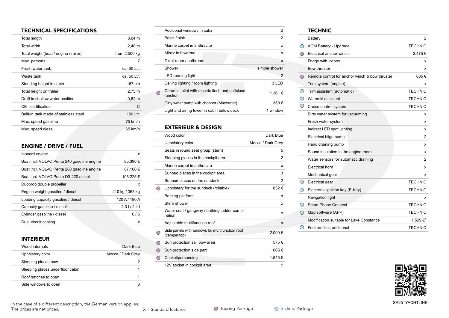## TECHNICAL SPECIFICATIONS

| Total length                          | $8,04 \, m$   |
|---------------------------------------|---------------|
| Total width                           | $2,48 \; m$   |
| Total weight (boat / engine / railer) | from 2.500 kg |
| Max. persons                          | 7             |
| Fresh water tank                      | ca. 60 Ltr.   |
| Waste tank                            | ca. 50 Ltr.   |
| Standing height in cabin              | 167 cm        |
| Total height on trailer               | $2,75 \; m$   |
| Draft in shallow water position       | $0,62 \; m$   |
| CE - certification                    | C             |
| Built-in tank made of stainless steel | 180 Ltr.      |
| Max. speed gasoline                   | 75 km/h       |
| Max. speed diesel                     | 65 km/h       |

# ENGINE / DRIVE / FUEL

| Inboard engine                             | x               |
|--------------------------------------------|-----------------|
| Boat incl. VOLVO Penta 240 gasoline engine | 85.390 €        |
| Boat incl. VOLVO Penta 280 gasoline engine | 87.160 €        |
| Boat incl. VOLVO Penta D3-220 diesel       | 105.225€        |
| Duoprop double propeller                   | x               |
| Engine weight gasoline / diesel            | 410 kg / 363 kg |
| Loading capacity gasoline / diesel         | 120 A / 180 A   |
| Capacity gasoline / diesel                 | 4.31/2.41       |
| Cylinder gasoline / diesel                 | 6/5             |
| Dual-circuit cooling                       | x               |
|                                            |                 |

## INTERIEUR

| Wood internals                   | Dark Blue         |
|----------------------------------|-------------------|
| Upholstery color                 | Mocca / Dark Grey |
| Sleeping places bow              |                   |
| Sleeping places underfloor cabin |                   |
| Roof hatches to open             |                   |
| Side windows to open             |                   |

| Additional windows in cabin               |                                                  | 2             |
|-------------------------------------------|--------------------------------------------------|---------------|
| Basin / sink                              |                                                  | 2             |
| Marine carpet in anthracite               |                                                  | x             |
| Mirror in how end                         |                                                  | x             |
| Toilet room / bathroom                    |                                                  | x             |
| Shower                                    |                                                  | simple shower |
| LED reading light                         |                                                  | 2             |
| Ceiling lighting / room lighting          |                                                  | $3$ I FD      |
| function                                  | Ceramic toilet with electric flush and softclose | 1.361 €       |
| Dirty water pump with chopper (Macerator) |                                                  | 350€          |
|                                           | Light and airing tower in cabin below deck       | 1 window      |

# EXTERIEUR & DESIGN

|            | Wood color                                                      | Dark Blue         |
|------------|-----------------------------------------------------------------|-------------------|
|            | Upholstery color                                                | Mocca / Dark Grey |
|            | Seats in round seat group (stern)                               | 5                 |
|            | Sleeping places in the cockpit area                             | $\overline{2}$    |
|            | Marine carpet in anthracite                                     | x                 |
|            | Sunbed places in the cockpit area                               | 3                 |
|            | Sunbed places on the sundeck                                    | 2                 |
|            | Upholstery for the sundeck (rollable)                           | 832€              |
|            | Bathing platform                                                | x                 |
|            | Stern shower                                                    | x                 |
|            | Water seat / gangway / bathing ladder combi-<br>nation          | x                 |
|            | Adjustable multifunction roof                                   | X                 |
|            | Side panels with windows for multifunction roof<br>(camper top) | 2.090€            |
| $\bigcirc$ | Sun protection sail bow area                                    | 575€              |
| $( \ )$    | Sun protection side part                                        | 605€              |
| ∩          | Cockpitpersenning                                               | 1.845 €           |
|            | 12V socket in cockpit area                                      | 1                 |

## **TECHNIC**

|            | Battery                                        | 2              |
|------------|------------------------------------------------|----------------|
|            | AGM Battery - Upgrade                          | <b>TECHNIC</b> |
|            | Electrical anchor winch                        | 2.475€         |
|            | Fridge with icebox                             | х              |
|            | Bow thruster                                   | х              |
| ( )        | Remote control for anchor winch & bow thruster | 685€           |
|            | Trim system (engine)                           | х              |
| $\bigcirc$ | Trim assistent (automatic)                     | <b>TECHNIC</b> |
|            | Waterski assistant                             | <b>TECHNIC</b> |
| O          | Cruise control system                          | <b>TECHNIC</b> |
|            | Dirty water system for vacuuming               | х              |
|            | Fresh water system                             | х              |
|            | Indirect LED spot lighting                     | х              |
|            | Electrical bilge pump                          | 2              |
|            | Hand draining pump                             | x              |
|            | Sound insulation in the engine room            | х              |
|            | Water sensors for automatic draining           | $\overline{2}$ |
|            | Electrical horn                                | x              |
|            | Mechanical gear                                | x              |
| ( )        | Electrical gear                                | <b>TECHNIC</b> |
|            | Electronic ignition key (E-Key)                | <b>TECHNIC</b> |
|            | Navigation light                               | x              |
|            | <b>Smart Phone Connect</b>                     | <b>TECHNIC</b> |
|            | Map software (APP)                             | <b>TECHNIC</b> |
|            | Modification suitable for Lake Constance       | 1.529€*        |
| ( )        | Fuel prefilter, additional                     | <b>TECHNIC</b> |
|            |                                                |                |



In the case of a different description, the German version applies. The prices are net prices.

 $X =$  Standard features  $\bigcirc$  Touring-Package  $\bigcirc$  Technic-Package

SR25 -YACHTLINE-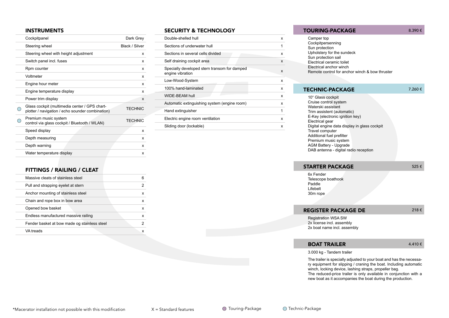#### INSTRUMENTS

| Cockpitpanel                                                                                      | Dark Grey             |
|---------------------------------------------------------------------------------------------------|-----------------------|
| Steering wheel                                                                                    | <b>Black / Silver</b> |
| Steering wheel with height adjustment                                                             | x                     |
| Switch panel incl. fuses                                                                          | x                     |
| Rpm counter                                                                                       | x                     |
| Voltmeter                                                                                         | x                     |
| Engine hour meter                                                                                 | x                     |
| Engine temperature display                                                                        | x                     |
| Power trim display                                                                                | X                     |
| Glass cockpit (multimedia center / GPS chart-<br>plotter / navigation / echo sounder combination) | <b>TECHNIC</b>        |
| Premium music system<br>control via glass cockpit / Bluetooth / WLAN)                             | <b>TECHNIC</b>        |
| Speed display                                                                                     | x                     |
| Depth measuring                                                                                   | x                     |
| Depth warning                                                                                     | x                     |
| Water temperature display                                                                         | x                     |

#### FITTINGS / RAILING / CLEAT

| Massive cleats of stainless steel            | 6 |
|----------------------------------------------|---|
| Pull and strapping eyelet at stern           | 2 |
| Anchor mounting of stainless steel           | X |
| Chain and rope box in bow area               | X |
| Opened bow basket                            | X |
| Endless manufactured massive railing         | X |
| Fender basket at bow made og stainless steel | 2 |
| VA treads                                    | x |

#### SECURITY & TECHNOLOGY

| Double-shelled hull                                              | x |
|------------------------------------------------------------------|---|
| Sections of underwater hull                                      | 1 |
| Sections in several cells divided                                | x |
| Self draining cockpit area                                       | X |
| Specially developed stern transom for damped<br>engine vibration | x |
| Low-Wood-System                                                  | x |
| 100% hand-laminated                                              | x |
| WIDE-BEAM hull                                                   | x |
| Automatic extinguishing system (engine room)                     | x |
| Hand extinguisher                                                | 1 |
| Electric engine room ventilation                                 | x |
| Sliding door (lockable)                                          | x |
|                                                                  |   |

#### TOURING-PACKAGE 8.390 €

Camper top Cockpitpersenning Sun protection Upholstery for the sundeck Sun protection sail Electrical ceramic toilet Electrical anchor winch Remote control for anchor winch & bow thruster

#### TECHNIC-PACKAGE 7.260 €

10" Glass cockpit Cruise control system Waterski assistant Trim assistent (automatic) E-Key (electronic ignition key) Electrical gear Digital engine data display in glass cockpit Travel computer Additional fuel prefilter Premium music system AGM Battery - Upgrade DAB antenna - digital radio reception

### STARTER PACKAGE 525  $\epsilon$

6x Fender Telescope boathook Paddle Lifebelt 30m rope

#### **REGISTER PACKAGE DE**  $218 \in$

Registration WSA SW 2x license incl. assembly 2x boat name incl. assembly

#### **BOAT TRAILER**  $4.410 \in$

3.000 kg - Tandem trailer

The trailer is specially adjusted to your boat and has the necessary equipment for slipping / craning the boat. Including automatic winch, locking device, lashing straps, propeller bag.

The reduced-price trailer is only available in conjunction with a new boat as it accompanies the boat during the production.